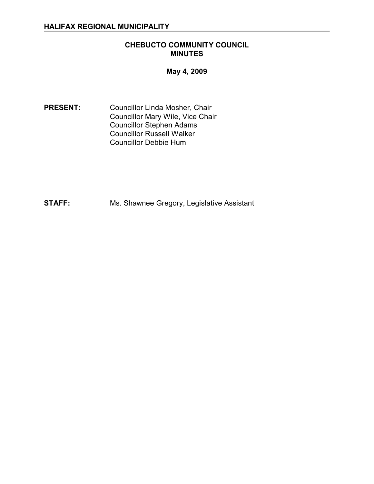### **CHEBUCTO COMMUNITY COUNCIL MINUTES**

**May 4, 2009** 

**PRESENT:** Councillor Linda Mosher, Chair Councillor Mary Wile, Vice Chair Councillor Stephen Adams Councillor Russell Walker Councillor Debbie Hum

**STAFF:** Ms. Shawnee Gregory, Legislative Assistant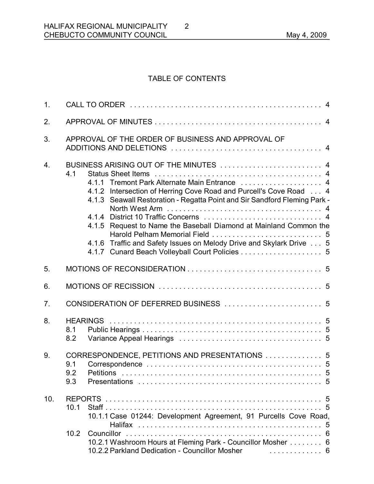# TABLE OF CONTENTS

2

| 1.               |                   |                                                                                                                                                                                                                                                                                                                                                                                                                                          |  |  |
|------------------|-------------------|------------------------------------------------------------------------------------------------------------------------------------------------------------------------------------------------------------------------------------------------------------------------------------------------------------------------------------------------------------------------------------------------------------------------------------------|--|--|
| 2.               |                   |                                                                                                                                                                                                                                                                                                                                                                                                                                          |  |  |
| 3.               |                   | APPROVAL OF THE ORDER OF BUSINESS AND APPROVAL OF                                                                                                                                                                                                                                                                                                                                                                                        |  |  |
| $\overline{4}$ . | 4.1               | BUSINESS ARISING OUT OF THE MINUTES  4<br>4.1.1 Tremont Park Alternate Main Entrance  4<br>4.1.2 Intersection of Herring Cove Road and Purcell's Cove Road 4<br>4.1.3 Seawall Restoration - Regatta Point and Sir Sandford Fleming Park -<br>4.1.5 Request to Name the Baseball Diamond at Mainland Common the<br>4.1.6 Traffic and Safety Issues on Melody Drive and Skylark Drive  5<br>4.1.7 Cunard Beach Volleyball Court Policies 5 |  |  |
| 5.               |                   |                                                                                                                                                                                                                                                                                                                                                                                                                                          |  |  |
| 6.               |                   |                                                                                                                                                                                                                                                                                                                                                                                                                                          |  |  |
| 7 <sub>1</sub>   |                   |                                                                                                                                                                                                                                                                                                                                                                                                                                          |  |  |
| 8.               | 8.1<br>8.2        |                                                                                                                                                                                                                                                                                                                                                                                                                                          |  |  |
| 9.               | 9.1<br>9.2<br>9.3 | CORRESPONDENCE, PETITIONS AND PRESENTATIONS  5                                                                                                                                                                                                                                                                                                                                                                                           |  |  |
| 10.              | 10.1<br>10.2      | 10.1.1 Case 01244: Development Agreement, 91 Purcells Cove Road,<br>10.2.1 Washroom Hours at Fleming Park - Councillor Mosher 6<br>10.2.2 Parkland Dedication - Councillor Mosher<br>. 6                                                                                                                                                                                                                                                 |  |  |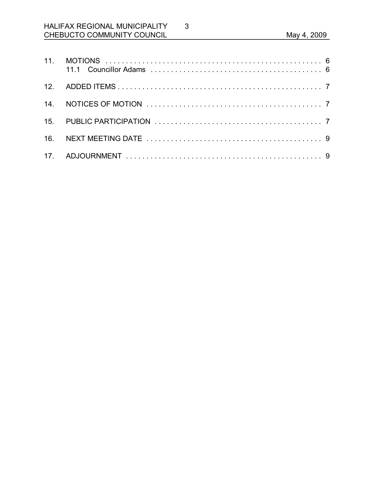# HALIFAX REGIONAL MUNICIPALITY CHEBUCTO COMMUNITY COUNCIL **Example 2009** May 4, 2009

3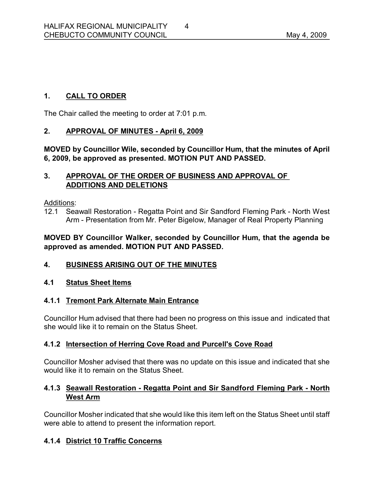# **1. CALL TO ORDER**

The Chair called the meeting to order at 7:01 p.m.

# **2. APPROVAL OF MINUTES April 6, 2009**

**MOVED by Councillor Wile, seconded by Councillor Hum, that the minutes of April 6, 2009, be approved as presented. MOTION PUT AND PASSED.** 

### **3. APPROVAL OF THE ORDER OF BUSINESS AND APPROVAL OF ADDITIONS AND DELETIONS**

Additions:

12.1 Seawall Restoration - Regatta Point and Sir Sandford Fleming Park - North West Arm - Presentation from Mr. Peter Bigelow, Manager of Real Property Planning

### **MOVED BY Councillor Walker, seconded by Councillor Hum, that the agenda be approved as amended. MOTION PUT AND PASSED.**

# **4. BUSINESS ARISING OUT OF THE MINUTES**

#### **4.1 Status Sheet Items**

# **4.1.1 Tremont Park Alternate Main Entrance**

Councillor Hum advised that there had been no progress on this issue and indicated that she would like it to remain on the Status Sheet.

#### **4.1.2 Intersection of Herring Cove Road and Purcell's Cove Road**

Councillor Mosher advised that there was no update on this issue and indicated that she would like it to remain on the Status Sheet.

# **4.1.3 Seawall Restoration Regatta Point and Sir Sandford Fleming Park North West Arm**

Councillor Mosher indicated that she would like this item left on the Status Sheet until staff were able to attend to present the information report.

# **4.1.4 District 10 Traffic Concerns**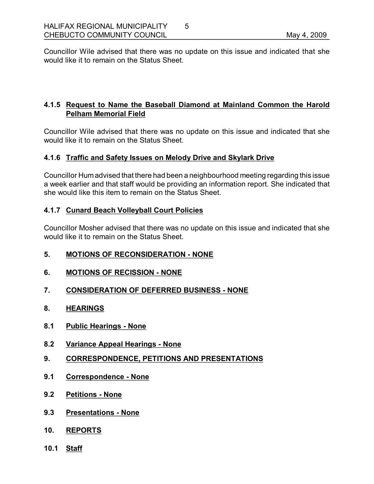Councillor Wile advised that there was no update on this issue and indicated that she would like it to remain on the Status Sheet.

5

# **4.1.5 Request to Name the Baseball Diamond at Mainland Common the Harold Pelham Memorial Field**

Councillor Wile advised that there was no update on this issue and indicated that she would like it to remain on the Status Sheet.

# **4.1.6 Traffic and Safety Issues on Melody Drive and Skylark Drive**

Councillor Humadvised that there had been a neighbourhood meeting regarding this issue a week earlier and that staff would be providing an information report. She indicated that she would like this item to remain on the Status Sheet.

# **4.1.7 Cunard Beach Volleyball Court Policies**

Councillor Mosher advised that there was no update on this issue and indicated that she would like it to remain on the Status Sheet.

- **5. MOTIONS OF RECONSIDERATION NONE**
- **6. MOTIONS OF RECISSION NONE**
- **7. CONSIDERATION OF DEFERRED BUSINESS NONE**
- **8. HEARINGS**
- **8.1 Public Hearings None**
- **8.2 Variance Appeal Hearings None**
- **9. CORRESPONDENCE, PETITIONS AND PRESENTATIONS**
- **9.1 Correspondence None**
- **9.2 Petitions None**
- **9.3 Presentations None**
- **10. REPORTS**
- **10.1 Staff**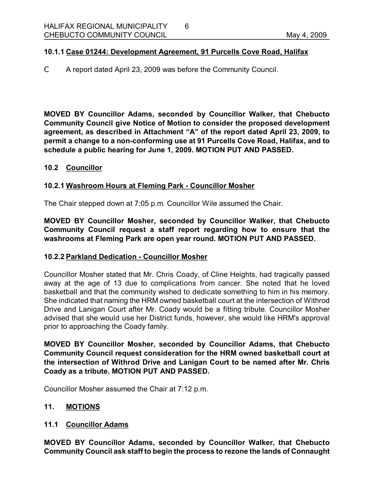#### **10.1.1 Case 01244: Development Agreement, 91 Purcells Cove Road, Halifax**

 $C$  A report dated April 23, 2009 was before the Community Council.

**MOVED BY Councillor Adams, seconded by Councillor Walker, that Chebucto Community Council give Notice of Motion to consider the proposed development agreement, as described in Attachment "A" of the report dated April 23, 2009, to permit a change to a nonconforming use at 91 Purcells Cove Road, Halifax, and to schedule a public hearing for June 1, 2009. MOTION PUT AND PASSED.** 

#### **10.2 Councillor**

### **10.2.1 Washroom Hours at Fleming Park Councillor Mosher**

The Chair stepped down at 7:05 p.m. Councillor Wile assumed the Chair.

**MOVED BY Councillor Mosher, seconded by Councillor Walker, that Chebucto Community Council request a staff report regarding how to ensure that the washrooms at Fleming Park are open year round. MOTION PUT AND PASSED.** 

#### **10.2.2 Parkland Dedication Councillor Mosher**

Councillor Mosher stated that Mr. Chris Coady, of Cline Heights, had tragically passed away at the age of 13 due to complications from cancer. She noted that he loved basketball and that the community wished to dedicate something to him in his memory. She indicated that naming the HRM owned basketball court at the intersection of Withrod Drive and Lanigan Court after Mr. Coady would be a fitting tribute. Councillor Mosher advised that she would use her District funds, however, she would like HRM's approval prior to approaching the Coady family.

**MOVED BY Councillor Mosher, seconded by Councillor Adams, that Chebucto Community Council request consideration for the HRM owned basketball court at the intersection of Withrod Drive and Lanigan Court to be named after Mr. Chris Coady as a tribute. MOTION PUT AND PASSED.**

Councillor Mosher assumed the Chair at 7:12 p.m.

#### **11. MOTIONS**

#### **11.1 Councillor Adams**

**MOVED BY Councillor Adams, seconded by Councillor Walker, that Chebucto Community Council ask staff to begin the process to rezone the lands of Connaught**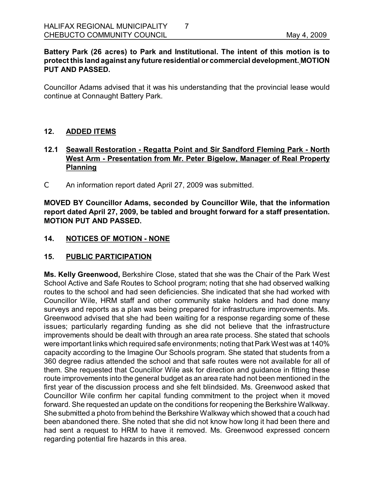### **Battery Park (26 acres) to Park and Institutional. The intent of this motion is to protect this land against any future residential or commercial development. MOTION PUT AND PASSED.**

Councillor Adams advised that it was his understanding that the provincial lease would continue at Connaught Battery Park.

### **12. ADDED ITEMS**

# **12.1 Seawall Restoration Regatta Point and Sir Sandford Fleming Park North West Arm Presentation from Mr. Peter Bigelow, Manager of Real Property Planning**

C An information report dated April 27, 2009 was submitted.

**MOVED BY Councillor Adams, seconded by Councillor Wile, that the information report dated April 27, 2009, be tabled and brought forward for a staff presentation. MOTION PUT AND PASSED.** 

#### 14. NOTICES OF MOTION - NONE

# **15. PUBLIC PARTICIPATION**

**Ms. Kelly Greenwood,** Berkshire Close, stated that she was the Chair of the Park West School Active and Safe Routes to School program; noting that she had observed walking routes to the school and had seen deficiencies. She indicated that she had worked with Councillor Wile, HRM staff and other community stake holders and had done many surveys and reports as a plan was being prepared for infrastructure improvements. Ms. Greenwood advised that she had been waiting for a response regarding some of these issues; particularly regarding funding as she did not believe that the infrastructure improvements should be dealt with through an area rate process. She stated that schools were important links which required safe environments; noting that Park West was at 140% capacity according to the Imagine Our Schools program. She stated that students from a 360 degree radius attended the school and that safe routes were not available for all of them. She requested that Councillor Wile ask for direction and guidance in fitting these route improvements into the general budget as an area rate had not been mentioned in the first year of the discussion process and she felt blindsided. Ms. Greenwood asked that Councillor Wile confirm her capital funding commitment to the project when it moved forward. She requested an update on the conditions for reopening the Berkshire Walkway. She submitted a photo from behind the Berkshire Walkway which showed that a couch had been abandoned there. She noted that she did not know how long it had been there and had sent a request to HRM to have it removed. Ms. Greenwood expressed concern regarding potential fire hazards in this area.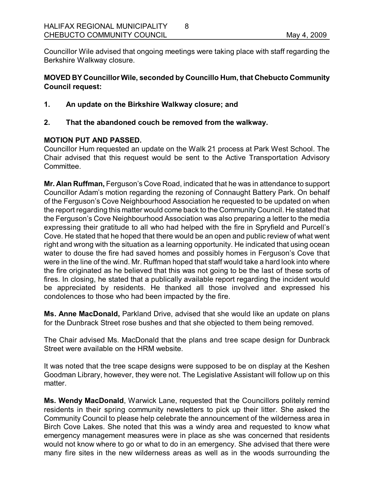Councillor Wile advised that ongoing meetings were taking place with staff regarding the Berkshire Walkway closure.

8

# **MOVED BY Councillor Wile, seconded by Councillo Hum, that Chebucto Community Council request:**

**1. An update on the Birkshire Walkway closure; and** 

### **2. That the abandoned couch be removed from the walkway.**

### **MOTION PUT AND PASSED.**

Councillor Hum requested an update on the Walk 21 process at Park West School. The Chair advised that this request would be sent to the Active Transportation Advisory **Committee.** 

**Mr. Alan Ruffman,** Ferguson's Cove Road, indicated that he was in attendance to support Councillor Adam's motion regarding the rezoning of Connaught Battery Park. On behalf of the Ferguson's Cove Neighbourhood Association he requested to be updated on when the report regarding this matter would come back to the Community Council. He stated that the Ferguson's Cove Neighbourhood Association was also preparing a letter to the media expressing their gratitude to all who had helped with the fire in Spryfield and Purcell's Cove. He stated that he hoped that there would be an open and public review of what went right and wrong with the situation as a learning opportunity. He indicated that using ocean water to douse the fire had saved homes and possibly homes in Ferguson's Cove that were in the line of the wind. Mr. Ruffman hoped that staff would take a hard look into where the fire originated as he believed that this was not going to be the last of these sorts of fires. In closing, he stated that a publically available report regarding the incident would be appreciated by residents. He thanked all those involved and expressed his condolences to those who had been impacted by the fire.

**Ms. Anne MacDonald,** Parkland Drive, advised that she would like an update on plans for the Dunbrack Street rose bushes and that she objected to them being removed.

The Chair advised Ms. MacDonald that the plans and tree scape design for Dunbrack Street were available on the HRM website.

It was noted that the tree scape designs were supposed to be on display at the Keshen Goodman Library, however, they were not. The Legislative Assistant will follow up on this matter.

**Ms. Wendy MacDonald**, Warwick Lane, requested that the Councillors politely remind residents in their spring community newsletters to pick up their litter. She asked the Community Council to please help celebrate the announcement of the wilderness area in Birch Cove Lakes. She noted that this was a windy area and requested to know what emergency management measures were in place as she was concerned that residents would not know where to go or what to do in an emergency. She advised that there were many fire sites in the new wilderness areas as well as in the woods surrounding the